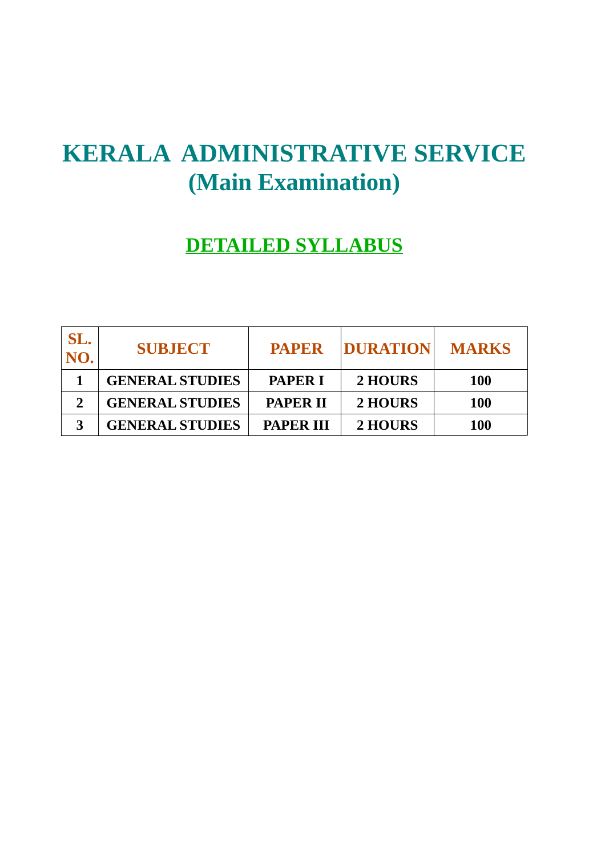# **KERALA ADMINISTRATIVE SERVICE (Main Examination)**

# **DETAILED SYLLABUS**

| SL.<br>NO. | <b>SUBJECT</b>         | <b>PAPER</b>     | <b>DURATION</b> | <b>MARKS</b> |
|------------|------------------------|------------------|-----------------|--------------|
|            | <b>GENERAL STUDIES</b> | <b>PAPER I</b>   | 2 HOURS         | <b>100</b>   |
|            | <b>GENERAL STUDIES</b> | <b>PAPER II</b>  | 2 HOURS         | <b>100</b>   |
| כי         | <b>GENERAL STUDIES</b> | <b>PAPER III</b> | 2 HOURS         | <b>100</b>   |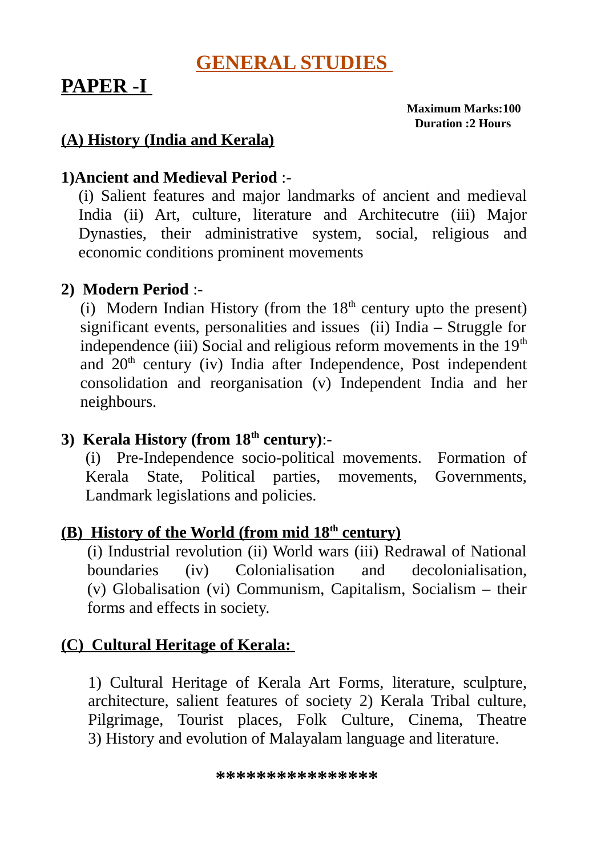### **GENERAL STUDIES**

## **PAPER -I**

 **Maximum Marks:100 Duration :2 Hours**

### **(A) History (India and Kerala)**

### **1)Ancient and Medieval Period** :-

(i) Salient features and major landmarks of ancient and medieval India (ii) Art, culture, literature and Architecutre (iii) Major Dynasties, their administrative system, social, religious and economic conditions prominent movements

### **2) Modern Period** :-

(i) Modern Indian History (from the  $18<sup>th</sup>$  century upto the present) significant events, personalities and issues (ii) India – Struggle for independence (iii) Social and religious reform movements in the  $19<sup>th</sup>$ and  $20<sup>th</sup>$  century (iv) India after Independence, Post independent consolidation and reorganisation (v) Independent India and her neighbours.

### **3) Kerala History (from 18th century)**:-

(i) Pre-Independence socio-political movements. Formation of Kerala State, Political parties, movements, Governments, Landmark legislations and policies.

### **(B) History of the World (from mid 18th century)**

(i) Industrial revolution (ii) World wars (iii) Redrawal of National boundaries (iv) Colonialisation and decolonialisation, (v) Globalisation (vi) Communism, Capitalism, Socialism – their forms and effects in society.

### **(C) Cultural Heritage of Kerala:**

1) Cultural Heritage of Kerala Art Forms, literature, sculpture, architecture, salient features of society 2) Kerala Tribal culture, Pilgrimage, Tourist places, Folk Culture, Cinema, Theatre 3) History and evolution of Malayalam language and literature.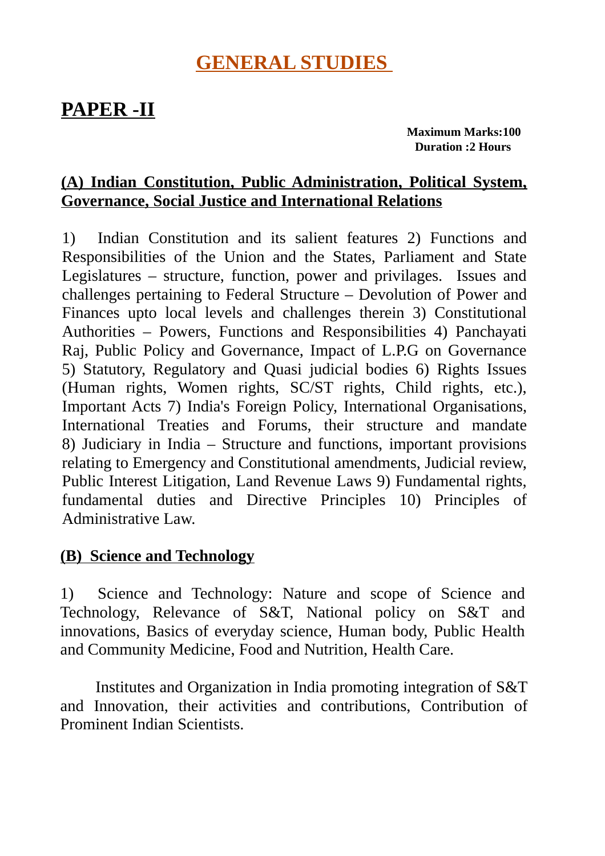### **GENERAL STUDIES**

### **PAPER -II**

 **Maximum Marks:100 Duration :2 Hours**

### **(A) Indian Constitution, Public Administration, Political System, Governance, Social Justice and International Relations**

1) Indian Constitution and its salient features 2) Functions and Responsibilities of the Union and the States, Parliament and State Legislatures – structure, function, power and privilages. Issues and challenges pertaining to Federal Structure – Devolution of Power and Finances upto local levels and challenges therein 3) Constitutional Authorities – Powers, Functions and Responsibilities 4) Panchayati Raj, Public Policy and Governance, Impact of L.P.G on Governance 5) Statutory, Regulatory and Quasi judicial bodies 6) Rights Issues (Human rights, Women rights, SC/ST rights, Child rights, etc.), Important Acts 7) India's Foreign Policy, International Organisations, International Treaties and Forums, their structure and mandate 8) Judiciary in India – Structure and functions, important provisions relating to Emergency and Constitutional amendments, Judicial review, Public Interest Litigation, Land Revenue Laws 9) Fundamental rights, fundamental duties and Directive Principles 10) Principles of Administrative Law.

#### **(B) Science and Technology**

1) Science and Technology: Nature and scope of Science and Technology, Relevance of S&T, National policy on S&T and innovations, Basics of everyday science, Human body, Public Health and Community Medicine, Food and Nutrition, Health Care.

 Institutes and Organization in India promoting integration of S&T and Innovation, their activities and contributions, Contribution of Prominent Indian Scientists.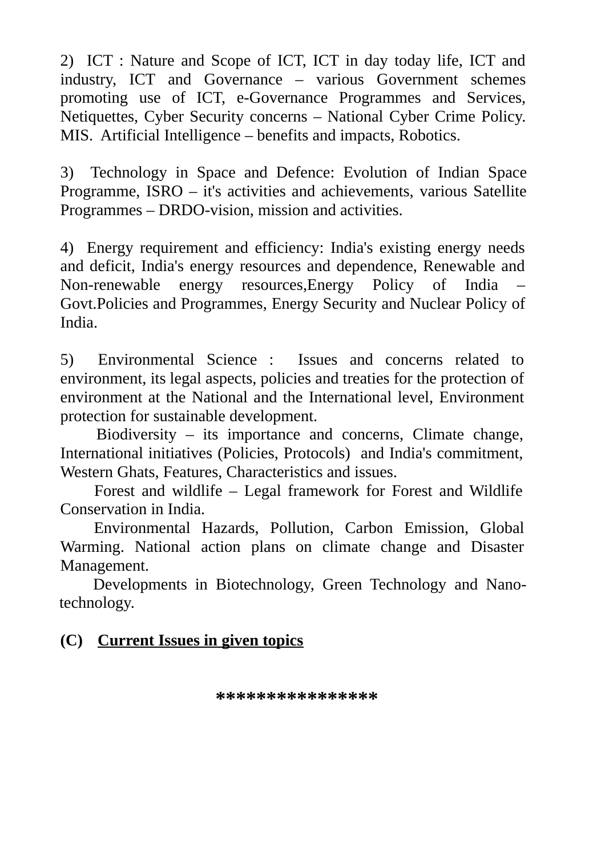2) ICT : Nature and Scope of ICT, ICT in day today life, ICT and industry, ICT and Governance – various Government schemes promoting use of ICT, e-Governance Programmes and Services, Netiquettes, Cyber Security concerns – National Cyber Crime Policy. MIS. Artificial Intelligence – benefits and impacts, Robotics.

3) Technology in Space and Defence: Evolution of Indian Space Programme, ISRO – it's activities and achievements, various Satellite Programmes – DRDO-vision, mission and activities.

4) Energy requirement and efficiency: India's existing energy needs and deficit, India's energy resources and dependence, Renewable and Non-renewable energy resources,Energy Policy of India – Govt.Policies and Programmes, Energy Security and Nuclear Policy of India.

5) Environmental Science : Issues and concerns related to environment, its legal aspects, policies and treaties for the protection of environment at the National and the International level, Environment protection for sustainable development.

Biodiversity – its importance and concerns, Climate change, International initiatives (Policies, Protocols) and India's commitment, Western Ghats, Features, Characteristics and issues.

 Forest and wildlife – Legal framework for Forest and Wildlife Conservation in India.

 Environmental Hazards, Pollution, Carbon Emission, Global Warming. National action plans on climate change and Disaster Management.

 Developments in Biotechnology, Green Technology and Nanotechnology.

#### **(C) Current Issues in given topics**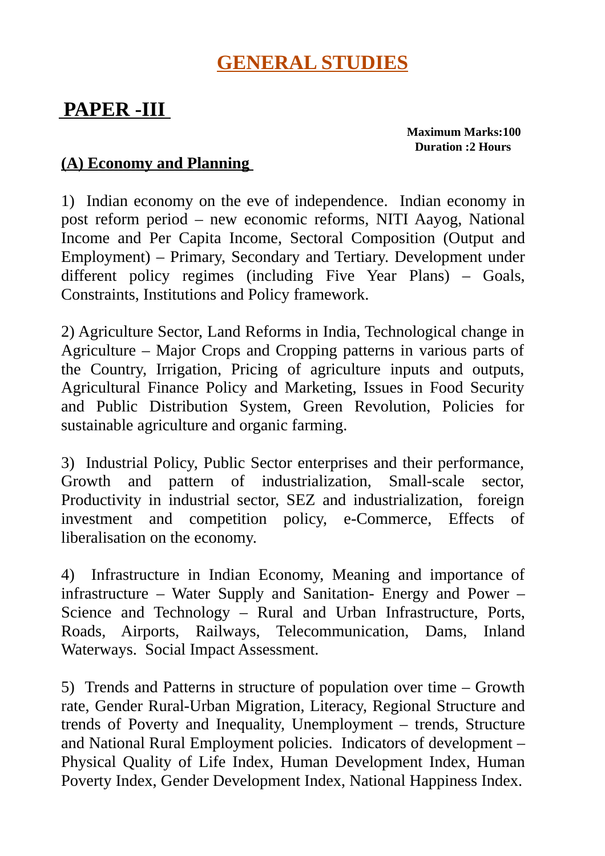### **GENERAL STUDIES**

# **PAPER -III**

 **Maximum Marks:100 Duration :2 Hours**

#### **(A) Economy and Planning**

1) Indian economy on the eve of independence. Indian economy in post reform period – new economic reforms, NITI Aayog, National Income and Per Capita Income, Sectoral Composition (Output and Employment) – Primary, Secondary and Tertiary. Development under different policy regimes (including Five Year Plans) – Goals, Constraints, Institutions and Policy framework.

2) Agriculture Sector, Land Reforms in India, Technological change in Agriculture – Major Crops and Cropping patterns in various parts of the Country, Irrigation, Pricing of agriculture inputs and outputs, Agricultural Finance Policy and Marketing, Issues in Food Security and Public Distribution System, Green Revolution, Policies for sustainable agriculture and organic farming.

3) Industrial Policy, Public Sector enterprises and their performance, Growth and pattern of industrialization, Small-scale sector, Productivity in industrial sector, SEZ and industrialization, foreign investment and competition policy, e-Commerce, Effects of liberalisation on the economy.

4) Infrastructure in Indian Economy, Meaning and importance of infrastructure – Water Supply and Sanitation- Energy and Power – Science and Technology – Rural and Urban Infrastructure, Ports, Roads, Airports, Railways, Telecommunication, Dams, Inland Waterways. Social Impact Assessment.

5) Trends and Patterns in structure of population over time – Growth rate, Gender Rural-Urban Migration, Literacy, Regional Structure and trends of Poverty and Inequality, Unemployment – trends, Structure and National Rural Employment policies. Indicators of development – Physical Quality of Life Index, Human Development Index, Human Poverty Index, Gender Development Index, National Happiness Index.